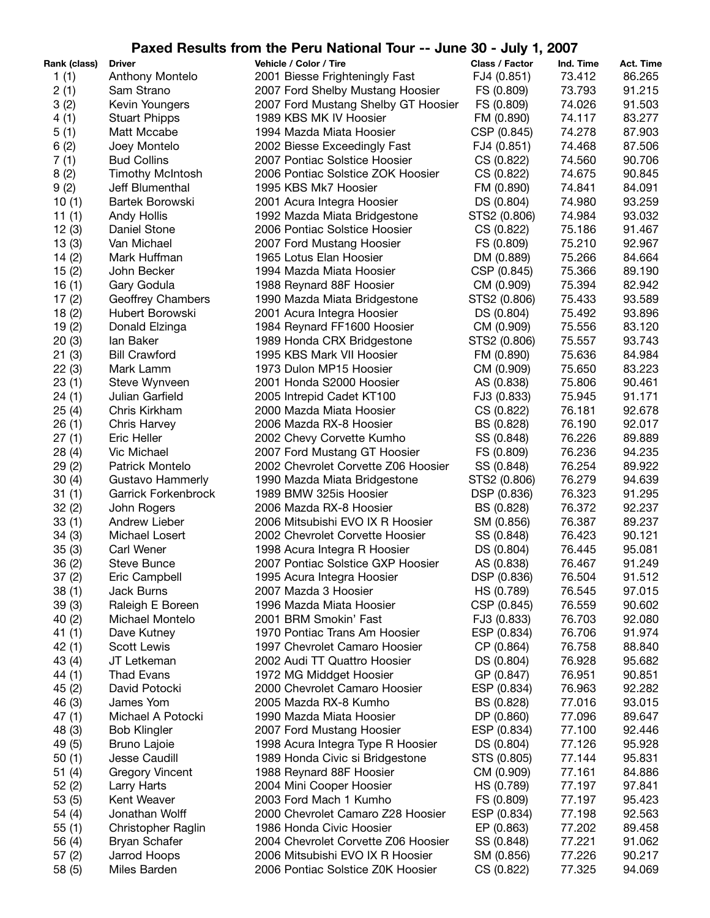## **Paxed Results from the Peru National Tour -- June 30 - July 1, 2007**

| Rank (class) | <b>Driver</b>           | Vehicle / Color / Tire              | Class / Factor | Ind. Time | Act. Time |
|--------------|-------------------------|-------------------------------------|----------------|-----------|-----------|
| 1(1)         | Anthony Montelo         | 2001 Biesse Frighteningly Fast      | FJ4 (0.851)    | 73.412    | 86.265    |
| 2(1)         | Sam Strano              | 2007 Ford Shelby Mustang Hoosier    | FS (0.809)     | 73.793    | 91.215    |
| 3(2)         | Kevin Youngers          | 2007 Ford Mustang Shelby GT Hoosier | FS (0.809)     | 74.026    | 91.503    |
| 4(1)         | <b>Stuart Phipps</b>    | 1989 KBS MK IV Hoosier              | FM (0.890)     | 74.117    | 83.277    |
| 5(1)         | Matt Mccabe             | 1994 Mazda Miata Hoosier            | CSP (0.845)    | 74.278    | 87.903    |
| 6(2)         | Joey Montelo            | 2002 Biesse Exceedingly Fast        | FJ4 (0.851)    | 74.468    | 87.506    |
| 7(1)         | <b>Bud Collins</b>      | 2007 Pontiac Solstice Hoosier       | CS (0.822)     | 74.560    | 90.706    |
| 8(2)         | <b>Timothy McIntosh</b> | 2006 Pontiac Solstice ZOK Hoosier   | CS (0.822)     | 74.675    | 90.845    |
| 9(2)         | Jeff Blumenthal         | 1995 KBS Mk7 Hoosier                | FM (0.890)     | 74.841    | 84.091    |
| 10(1)        | Bartek Borowski         | 2001 Acura Integra Hoosier          | DS (0.804)     | 74.980    | 93.259    |
| 11(1)        | Andy Hollis             | 1992 Mazda Miata Bridgestone        | STS2 (0.806)   | 74.984    | 93.032    |
| 12(3)        | Daniel Stone            | 2006 Pontiac Solstice Hoosier       | CS (0.822)     | 75.186    | 91.467    |
| 13(3)        | Van Michael             | 2007 Ford Mustang Hoosier           | FS (0.809)     | 75.210    | 92.967    |
| 14(2)        | Mark Huffman            | 1965 Lotus Elan Hoosier             | DM (0.889)     | 75.266    | 84.664    |
| 15(2)        | John Becker             | 1994 Mazda Miata Hoosier            | CSP (0.845)    | 75.366    | 89.190    |
| 16(1)        | Gary Godula             | 1988 Reynard 88F Hoosier            | CM (0.909)     | 75.394    | 82.942    |
| 17(2)        | Geoffrey Chambers       | 1990 Mazda Miata Bridgestone        | STS2 (0.806)   | 75.433    | 93.589    |
| 18(2)        | Hubert Borowski         | 2001 Acura Integra Hoosier          | DS (0.804)     | 75.492    | 93.896    |
| 19(2)        | Donald Elzinga          | 1984 Reynard FF1600 Hoosier         | CM (0.909)     | 75.556    | 83.120    |
| 20(3)        | lan Baker               | 1989 Honda CRX Bridgestone          | STS2 (0.806)   | 75.557    | 93.743    |
| 21(3)        | <b>Bill Crawford</b>    | 1995 KBS Mark VII Hoosier           | FM (0.890)     | 75.636    | 84.984    |
| 22(3)        | Mark Lamm               | 1973 Dulon MP15 Hoosier             | CM (0.909)     | 75.650    | 83.223    |
| 23(1)        | Steve Wynveen           | 2001 Honda S2000 Hoosier            | AS (0.838)     | 75.806    | 90.461    |
| 24(1)        | Julian Garfield         | 2005 Intrepid Cadet KT100           | FJ3 (0.833)    | 75.945    | 91.171    |
| 25(4)        | Chris Kirkham           | 2000 Mazda Miata Hoosier            | CS (0.822)     | 76.181    | 92.678    |
| 26(1)        | <b>Chris Harvey</b>     | 2006 Mazda RX-8 Hoosier             | BS (0.828)     | 76.190    | 92.017    |
| 27(1)        | Eric Heller             | 2002 Chevy Corvette Kumho           | SS (0.848)     | 76.226    | 89.889    |
| 28(4)        | Vic Michael             | 2007 Ford Mustang GT Hoosier        | FS (0.809)     | 76.236    | 94.235    |
| 29(2)        | Patrick Montelo         | 2002 Chevrolet Corvette Z06 Hoosier | SS (0.848)     | 76.254    | 89.922    |
| 30(4)        | Gustavo Hammerly        | 1990 Mazda Miata Bridgestone        | STS2 (0.806)   | 76.279    | 94.639    |
| 31(1)        | Garrick Forkenbrock     | 1989 BMW 325is Hoosier              | DSP (0.836)    | 76.323    | 91.295    |
| 32(2)        | John Rogers             | 2006 Mazda RX-8 Hoosier             | BS (0.828)     | 76.372    | 92.237    |
| 33(1)        | Andrew Lieber           | 2006 Mitsubishi EVO IX R Hoosier    | SM (0.856)     | 76.387    | 89.237    |
| 34(3)        | Michael Losert          | 2002 Chevrolet Corvette Hoosier     | SS (0.848)     | 76.423    | 90.121    |
| 35(3)        | Carl Wener              | 1998 Acura Integra R Hoosier        | DS (0.804)     | 76.445    | 95.081    |
| 36(2)        | <b>Steve Bunce</b>      | 2007 Pontiac Solstice GXP Hoosier   | AS (0.838)     | 76.467    | 91.249    |
| 37(2)        | Eric Campbell           | 1995 Acura Integra Hoosier          | DSP (0.836)    | 76.504    | 91.512    |
| 38(1)        | Jack Burns              | 2007 Mazda 3 Hoosier                | HS (0.789)     | 76.545    | 97.015    |
| 39(3)        | Raleigh E Boreen        | 1996 Mazda Miata Hoosier            | CSP (0.845)    | 76.559    | 90.602    |
| 40 (2)       | Michael Montelo         | 2001 BRM Smokin' Fast               | FJ3 (0.833)    | 76.703    | 92.080    |
| 41 (1)       | Dave Kutney             | 1970 Pontiac Trans Am Hoosier       | ESP (0.834)    | 76.706    | 91.974    |
| 42 (1)       | Scott Lewis             | 1997 Chevrolet Camaro Hoosier       | CP (0.864)     | 76.758    | 88.840    |
| 43 (4)       | JT Letkeman             | 2002 Audi TT Quattro Hoosier        | DS (0.804)     | 76.928    | 95.682    |
| 44 (1)       | Thad Evans              | 1972 MG Middget Hoosier             | GP (0.847)     | 76.951    | 90.851    |
| 45(2)        | David Potocki           | 2000 Chevrolet Camaro Hoosier       | ESP (0.834)    | 76.963    | 92.282    |
| 46 (3)       | James Yom               | 2005 Mazda RX-8 Kumho               | BS (0.828)     | 77.016    | 93.015    |
| 47 (1)       | Michael A Potocki       | 1990 Mazda Miata Hoosier            | DP (0.860)     | 77.096    | 89.647    |
| 48 (3)       | <b>Bob Klingler</b>     | 2007 Ford Mustang Hoosier           | ESP (0.834)    | 77.100    | 92.446    |
| 49 (5)       | Bruno Lajoie            | 1998 Acura Integra Type R Hoosier   | DS (0.804)     | 77.126    | 95.928    |
| 50(1)        | Jesse Caudill           | 1989 Honda Civic si Bridgestone     | STS (0.805)    | 77.144    | 95.831    |
| 51 (4)       | <b>Gregory Vincent</b>  | 1988 Reynard 88F Hoosier            | CM (0.909)     | 77.161    | 84.886    |
| 52(2)        | Larry Harts             | 2004 Mini Cooper Hoosier            | HS (0.789)     | 77.197    | 97.841    |
| 53 (5)       | Kent Weaver             | 2003 Ford Mach 1 Kumho              | FS (0.809)     | 77.197    | 95.423    |
| 54 (4)       | Jonathan Wolff          | 2000 Chevrolet Camaro Z28 Hoosier   | ESP (0.834)    | 77.198    | 92.563    |
| 55(1)        | Christopher Raglin      | 1986 Honda Civic Hoosier            | EP (0.863)     | 77.202    | 89.458    |
| 56 (4)       | <b>Bryan Schafer</b>    | 2004 Chevrolet Corvette Z06 Hoosier | SS (0.848)     | 77.221    | 91.062    |
| 57 (2)       | Jarrod Hoops            | 2006 Mitsubishi EVO IX R Hoosier    | SM (0.856)     | 77.226    | 90.217    |
| 58 (5)       | Miles Barden            | 2006 Pontiac Solstice Z0K Hoosier   | CS (0.822)     | 77.325    | 94.069    |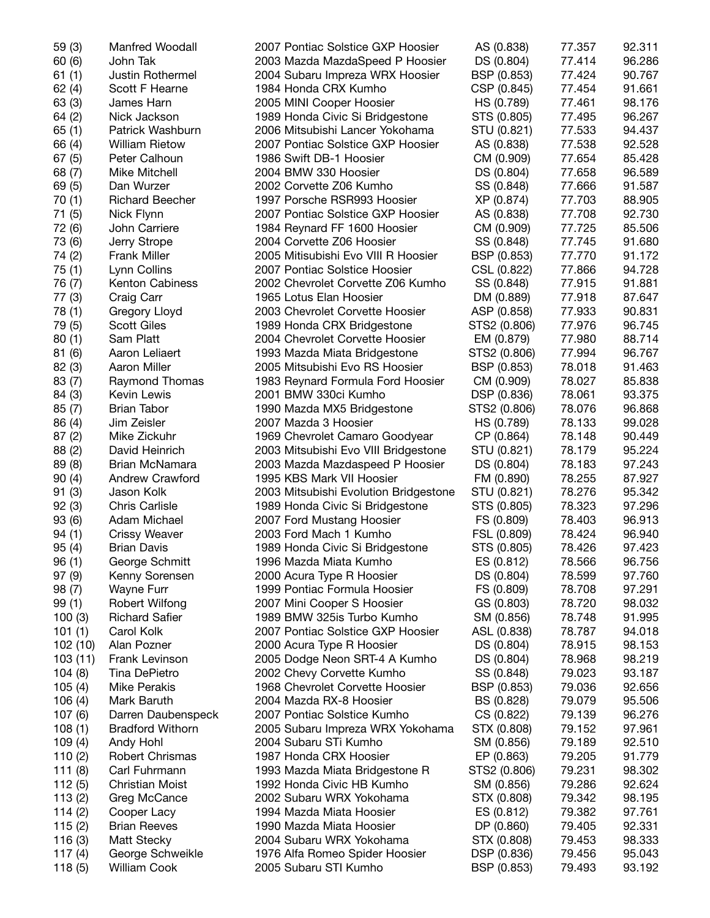| 59 (3)    | <b>Manfred Woodall</b>  | 2007 Pontiac Solstice GXP Hoosier     | AS (0.838)   | 77.357 | 92.311 |
|-----------|-------------------------|---------------------------------------|--------------|--------|--------|
| 60(6)     | John Tak                | 2003 Mazda MazdaSpeed P Hoosier       | DS (0.804)   | 77.414 | 96.286 |
| 61(1)     | Justin Rothermel        | 2004 Subaru Impreza WRX Hoosier       | BSP (0.853)  | 77.424 | 90.767 |
| 62(4)     | Scott F Hearne          | 1984 Honda CRX Kumho                  | CSP (0.845)  | 77.454 | 91.661 |
| 63(3)     | James Harn              | 2005 MINI Cooper Hoosier              | HS (0.789)   | 77.461 | 98.176 |
| 64(2)     | Nick Jackson            | 1989 Honda Civic Si Bridgestone       | STS (0.805)  | 77.495 | 96.267 |
| 65(1)     | Patrick Washburn        | 2006 Mitsubishi Lancer Yokohama       | STU (0.821)  | 77.533 | 94.437 |
| 66 (4)    | <b>William Rietow</b>   | 2007 Pontiac Solstice GXP Hoosier     | AS (0.838)   | 77.538 | 92.528 |
| 67(5)     | Peter Calhoun           | 1986 Swift DB-1 Hoosier               | CM (0.909)   | 77.654 | 85.428 |
| 68 (7)    | Mike Mitchell           | 2004 BMW 330 Hoosier                  | DS (0.804)   | 77.658 | 96.589 |
| 69(5)     | Dan Wurzer              | 2002 Corvette Z06 Kumho               | SS (0.848)   | 77.666 | 91.587 |
| 70(1)     | <b>Richard Beecher</b>  | 1997 Porsche RSR993 Hoosier           | XP (0.874)   | 77.703 | 88.905 |
| 71 (5)    | Nick Flynn              | 2007 Pontiac Solstice GXP Hoosier     | AS (0.838)   | 77.708 | 92.730 |
| 72 (6)    | John Carriere           | 1984 Reynard FF 1600 Hoosier          | CM (0.909)   | 77.725 | 85.506 |
| 73 (6)    | Jerry Strope            | 2004 Corvette Z06 Hoosier             | SS (0.848)   | 77.745 | 91.680 |
| 74 (2)    | Frank Miller            | 2005 Mitisubishi Evo VIII R Hoosier   | BSP (0.853)  | 77.770 | 91.172 |
| 75(1)     | Lynn Collins            | 2007 Pontiac Solstice Hoosier         | CSL (0.822)  | 77.866 | 94.728 |
| 76 (7)    | Kenton Cabiness         | 2002 Chevrolet Corvette Z06 Kumho     | SS (0.848)   | 77.915 | 91.881 |
|           | Craig Carr              | 1965 Lotus Elan Hoosier               | DM (0.889)   | 77.918 | 87.647 |
| 77 (3)    | Gregory Lloyd           |                                       |              | 77.933 | 90.831 |
| 78 (1)    |                         | 2003 Chevrolet Corvette Hoosier       | ASP (0.858)  |        |        |
| 79 (5)    | <b>Scott Giles</b>      | 1989 Honda CRX Bridgestone            | STS2 (0.806) | 77.976 | 96.745 |
| 80(1)     | Sam Platt               | 2004 Chevrolet Corvette Hoosier       | EM (0.879)   | 77.980 | 88.714 |
| 81(6)     | Aaron Leliaert          | 1993 Mazda Miata Bridgestone          | STS2 (0.806) | 77.994 | 96.767 |
| 82 (3)    | Aaron Miller            | 2005 Mitsubishi Evo RS Hoosier        | BSP (0.853)  | 78.018 | 91.463 |
| 83(7)     | Raymond Thomas          | 1983 Reynard Formula Ford Hoosier     | CM (0.909)   | 78.027 | 85.838 |
| 84 (3)    | <b>Kevin Lewis</b>      | 2001 BMW 330ci Kumho                  | DSP (0.836)  | 78.061 | 93.375 |
| 85(7)     | <b>Brian Tabor</b>      | 1990 Mazda MX5 Bridgestone            | STS2 (0.806) | 78.076 | 96.868 |
| 86 (4)    | Jim Zeisler             | 2007 Mazda 3 Hoosier                  | HS (0.789)   | 78.133 | 99.028 |
| 87(2)     | Mike Zickuhr            | 1969 Chevrolet Camaro Goodyear        | CP (0.864)   | 78.148 | 90.449 |
| 88(2)     | David Heinrich          | 2003 Mitsubishi Evo VIII Bridgestone  | STU (0.821)  | 78.179 | 95.224 |
| 89(8)     | Brian McNamara          | 2003 Mazda Mazdaspeed P Hoosier       | DS (0.804)   | 78.183 | 97.243 |
| 90(4)     | Andrew Crawford         | 1995 KBS Mark VII Hoosier             | FM (0.890)   | 78.255 | 87.927 |
| 91(3)     | Jason Kolk              | 2003 Mitsubishi Evolution Bridgestone | STU (0.821)  | 78.276 | 95.342 |
| 92(3)     | <b>Chris Carlisle</b>   | 1989 Honda Civic Si Bridgestone       | STS (0.805)  | 78.323 | 97.296 |
| 93 (6)    | Adam Michael            | 2007 Ford Mustang Hoosier             | FS (0.809)   | 78.403 | 96.913 |
| 94(1)     | <b>Crissy Weaver</b>    | 2003 Ford Mach 1 Kumho                | FSL (0.809)  | 78.424 | 96.940 |
| 95(4)     | <b>Brian Davis</b>      | 1989 Honda Civic Si Bridgestone       | STS (0.805)  | 78.426 | 97.423 |
| 96(1)     | George Schmitt          | 1996 Mazda Miata Kumho                | ES (0.812)   | 78.566 | 96.756 |
| 97 (9)    | Kenny Sorensen          | 2000 Acura Type R Hoosier             | DS (0.804)   | 78.599 | 97.760 |
| 98 (7)    | Wayne Furr              | 1999 Pontiac Formula Hoosier          | FS (0.809)   | 78.708 | 97.291 |
| 99(1)     | <b>Robert Wilfong</b>   | 2007 Mini Cooper S Hoosier            | GS (0.803)   | 78.720 | 98.032 |
| 100(3)    | <b>Richard Safier</b>   | 1989 BMW 325is Turbo Kumho            | SM (0.856)   | 78.748 | 91.995 |
| 101(1)    | Carol Kolk              | 2007 Pontiac Solstice GXP Hoosier     | ASL (0.838)  | 78.787 | 94.018 |
| 102 (10)  | Alan Pozner             | 2000 Acura Type R Hoosier             | DS (0.804)   | 78.915 | 98.153 |
| 103(11)   | Frank Levinson          | 2005 Dodge Neon SRT-4 A Kumho         | DS (0.804)   | 78.968 | 98.219 |
| 104(8)    | Tina DePietro           | 2002 Chevy Corvette Kumho             | SS (0.848)   | 79.023 | 93.187 |
| 105(4)    | <b>Mike Perakis</b>     | 1968 Chevrolet Corvette Hoosier       | BSP (0.853)  | 79.036 | 92.656 |
| 106(4)    | Mark Baruth             | 2004 Mazda RX-8 Hoosier               | BS (0.828)   | 79.079 | 95.506 |
| 107(6)    | Darren Daubenspeck      | 2007 Pontiac Solstice Kumho           | CS (0.822)   | 79.139 | 96.276 |
| 108(1)    | <b>Bradford Withorn</b> | 2005 Subaru Impreza WRX Yokohama      | STX (0.808)  | 79.152 | 97.961 |
| 109(4)    | Andy Hohl               | 2004 Subaru STi Kumho                 | SM (0.856)   | 79.189 | 92.510 |
| 110(2)    | Robert Chrismas         | 1987 Honda CRX Hoosier                | EP (0.863)   | 79.205 | 91.779 |
| 111(8)    | Carl Fuhrmann           | 1993 Mazda Miata Bridgestone R        | STS2 (0.806) | 79.231 | 98.302 |
| 112(5)    | <b>Christian Moist</b>  | 1992 Honda Civic HB Kumho             | SM (0.856)   | 79.286 | 92.624 |
| 113(2)    | Greg McCance            | 2002 Subaru WRX Yokohama              | STX (0.808)  | 79.342 | 98.195 |
| 114(2)    | Cooper Lacy             | 1994 Mazda Miata Hoosier              | ES (0.812)   | 79.382 | 97.761 |
| 115(2)    | <b>Brian Reeves</b>     | 1990 Mazda Miata Hoosier              | DP (0.860)   | 79.405 | 92.331 |
| 116(3)    | Matt Stecky             | 2004 Subaru WRX Yokohama              | STX (0.808)  | 79.453 | 98.333 |
| 117 $(4)$ | George Schweikle        | 1976 Alfa Romeo Spider Hoosier        | DSP (0.836)  | 79.456 | 95.043 |
| 118(5)    | William Cook            | 2005 Subaru STI Kumho                 | BSP (0.853)  | 79.493 | 93.192 |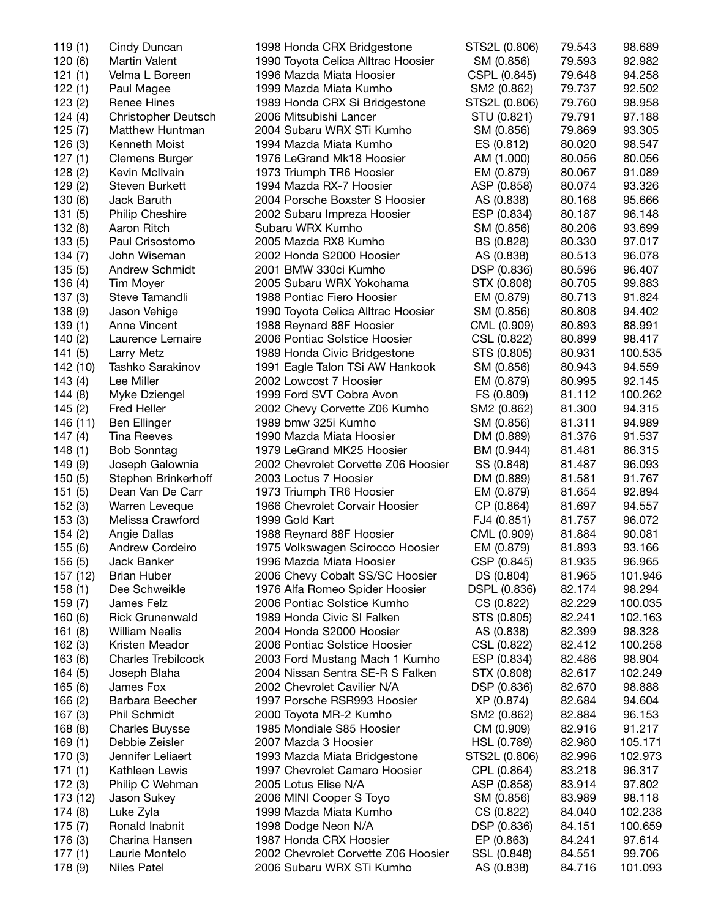| 119(1)   | Cindy Duncan               | 1998 Honda CRX Bridgestone          | STS2L (0.806) | 79.543 | 98.689  |
|----------|----------------------------|-------------------------------------|---------------|--------|---------|
| 120(6)   | <b>Martin Valent</b>       | 1990 Toyota Celica Alltrac Hoosier  | SM (0.856)    | 79.593 | 92.982  |
| 121(1)   | Velma L Boreen             | 1996 Mazda Miata Hoosier            | CSPL (0.845)  | 79.648 | 94.258  |
| 122(1)   |                            |                                     |               |        | 92.502  |
|          | Paul Magee                 | 1999 Mazda Miata Kumho              | SM2 (0.862)   | 79.737 |         |
| 123(2)   | <b>Renee Hines</b>         | 1989 Honda CRX Si Bridgestone       | STS2L (0.806) | 79.760 | 98.958  |
| 124(4)   | <b>Christopher Deutsch</b> | 2006 Mitsubishi Lancer              | STU (0.821)   | 79.791 | 97.188  |
| 125(7)   | Matthew Huntman            | 2004 Subaru WRX STi Kumho           | SM (0.856)    | 79.869 | 93.305  |
| 126(3)   | Kenneth Moist              | 1994 Mazda Miata Kumho              | ES (0.812)    | 80.020 | 98.547  |
| 127(1)   | <b>Clemens Burger</b>      | 1976 LeGrand Mk18 Hoosier           | AM (1.000)    | 80.056 | 80.056  |
| 128(2)   | Kevin McIlvain             | 1973 Triumph TR6 Hoosier            | EM (0.879)    | 80.067 | 91.089  |
| 129(2)   | Steven Burkett             | 1994 Mazda RX-7 Hoosier             | ASP (0.858)   | 80.074 | 93.326  |
| 130(6)   | Jack Baruth                | 2004 Porsche Boxster S Hoosier      | AS (0.838)    | 80.168 | 95.666  |
| 131(5)   | <b>Philip Cheshire</b>     | 2002 Subaru Impreza Hoosier         | ESP (0.834)   | 80.187 | 96.148  |
| 132(8)   | Aaron Ritch                | Subaru WRX Kumho                    | SM (0.856)    | 80.206 | 93.699  |
| 133(5)   | Paul Crisostomo            | 2005 Mazda RX8 Kumho                | BS (0.828)    | 80.330 | 97.017  |
| 134(7)   | John Wiseman               | 2002 Honda S2000 Hoosier            | AS (0.838)    | 80.513 | 96.078  |
| 135(5)   | <b>Andrew Schmidt</b>      | 2001 BMW 330ci Kumho                | DSP (0.836)   | 80.596 | 96.407  |
| 136(4)   | Tim Moyer                  | 2005 Subaru WRX Yokohama            | STX (0.808)   | 80.705 | 99.883  |
| 137(3)   | Steve Tamandli             | 1988 Pontiac Fiero Hoosier          | EM (0.879)    | 80.713 | 91.824  |
| 138 (9)  | Jason Vehige               | 1990 Toyota Celica Alltrac Hoosier  | SM (0.856)    | 80.808 | 94.402  |
| 139(1)   | Anne Vincent               | 1988 Reynard 88F Hoosier            | CML (0.909)   | 80.893 | 88.991  |
| 140(2)   | Laurence Lemaire           | 2006 Pontiac Solstice Hoosier       | CSL (0.822)   | 80.899 | 98.417  |
| 141(5)   | <b>Larry Metz</b>          | 1989 Honda Civic Bridgestone        | STS (0.805)   | 80.931 | 100.535 |
| 142 (10) | Tashko Sarakinov           | 1991 Eagle Talon TSi AW Hankook     | SM (0.856)    | 80.943 | 94.559  |
| 143(4)   | Lee Miller                 | 2002 Lowcost 7 Hoosier              | EM (0.879)    | 80.995 | 92.145  |
| 144(8)   | Myke Dziengel              | 1999 Ford SVT Cobra Avon            | FS (0.809)    | 81.112 | 100.262 |
| 145(2)   | <b>Fred Heller</b>         | 2002 Chevy Corvette Z06 Kumho       | SM2 (0.862)   | 81.300 | 94.315  |
| 146 (11) | Ben Ellinger               | 1989 bmw 325i Kumho                 | SM (0.856)    | 81.311 | 94.989  |
| 147(4)   | <b>Tina Reeves</b>         | 1990 Mazda Miata Hoosier            | DM (0.889)    | 81.376 | 91.537  |
| 148(1)   | <b>Bob Sonntag</b>         | 1979 LeGrand MK25 Hoosier           | BM (0.944)    | 81.481 | 86.315  |
| 149 (9)  | Joseph Galownia            | 2002 Chevrolet Corvette Z06 Hoosier | SS (0.848)    | 81.487 | 96.093  |
| 150(5)   | Stephen Brinkerhoff        | 2003 Loctus 7 Hoosier               | DM (0.889)    | 81.581 | 91.767  |
| 151(5)   | Dean Van De Carr           | 1973 Triumph TR6 Hoosier            | EM (0.879)    | 81.654 | 92.894  |
| 152(3)   | Warren Leveque             | 1966 Chevrolet Corvair Hoosier      | CP (0.864)    | 81.697 | 94.557  |
| 153(3)   | Melissa Crawford           | 1999 Gold Kart                      | FJ4 (0.851)   | 81.757 | 96.072  |
| 154(2)   | Angie Dallas               | 1988 Reynard 88F Hoosier            | CML (0.909)   | 81.884 | 90.081  |
| 155 (6)  | <b>Andrew Cordeiro</b>     | 1975 Volkswagen Scirocco Hoosier    | EM (0.879)    | 81.893 | 93.166  |
|          | Jack Banker                | 1996 Mazda Miata Hoosier            |               |        | 96.965  |
| 156 (5)  |                            |                                     | CSP (0.845)   | 81.935 |         |
| 157 (12) | <b>Brian Huber</b>         | 2006 Chevy Cobalt SS/SC Hoosier     | DS (0.804)    | 81.965 | 101.946 |
| 158(1)   | Dee Schweikle              | 1976 Alfa Romeo Spider Hoosier      | DSPL (0.836)  | 82.174 | 98.294  |
| 159(7)   | James Felz                 | 2006 Pontiac Solstice Kumho         | CS (0.822)    | 82.229 | 100.035 |
| 160(6)   | <b>Rick Grunenwald</b>     | 1989 Honda Civic SI Falken          | STS (0.805)   | 82.241 | 102.163 |
| 161(8)   | <b>William Nealis</b>      | 2004 Honda S2000 Hoosier            | AS (0.838)    | 82.399 | 98.328  |
| 162(3)   | Kristen Meador             | 2006 Pontiac Solstice Hoosier       | CSL (0.822)   | 82.412 | 100.258 |
| 163(6)   | <b>Charles Trebilcock</b>  | 2003 Ford Mustang Mach 1 Kumho      | ESP (0.834)   | 82.486 | 98.904  |
| 164(5)   | Joseph Blaha               | 2004 Nissan Sentra SE-R S Falken    | STX (0.808)   | 82.617 | 102.249 |
| 165(6)   | James Fox                  | 2002 Chevrolet Cavilier N/A         | DSP (0.836)   | 82.670 | 98.888  |
| 166(2)   | Barbara Beecher            | 1997 Porsche RSR993 Hoosier         | XP (0.874)    | 82.684 | 94.604  |
| 167(3)   | <b>Phil Schmidt</b>        | 2000 Toyota MR-2 Kumho              | SM2 (0.862)   | 82.884 | 96.153  |
| 168(8)   | <b>Charles Buysse</b>      | 1985 Mondiale S85 Hoosier           | CM (0.909)    | 82.916 | 91.217  |
| 169(1)   | Debbie Zeisler             | 2007 Mazda 3 Hoosier                | HSL (0.789)   | 82.980 | 105.171 |
| 170 (3)  | Jennifer Leliaert          | 1993 Mazda Miata Bridgestone        | STS2L (0.806) | 82.996 | 102.973 |
| 171(1)   | Kathleen Lewis             | 1997 Chevrolet Camaro Hoosier       | CPL (0.864)   | 83.218 | 96.317  |
| 172 (3)  | Philip C Wehman            | 2005 Lotus Elise N/A                | ASP (0.858)   | 83.914 | 97.802  |
| 173 (12) | Jason Sukey                | 2006 MINI Cooper S Toyo             | SM (0.856)    | 83.989 | 98.118  |
| 174 (8)  | Luke Zyla                  | 1999 Mazda Miata Kumho              | CS (0.822)    | 84.040 | 102.238 |
| 175 (7)  | Ronald Inabnit             | 1998 Dodge Neon N/A                 | DSP (0.836)   | 84.151 | 100.659 |
| 176(3)   | Charina Hansen             | 1987 Honda CRX Hoosier              | EP (0.863)    | 84.241 | 97.614  |
| 177(1)   | Laurie Montelo             | 2002 Chevrolet Corvette Z06 Hoosier | SSL (0.848)   | 84.551 | 99.706  |
| 178 (9)  | <b>Niles Patel</b>         | 2006 Subaru WRX STi Kumho           | AS (0.838)    | 84.716 | 101.093 |